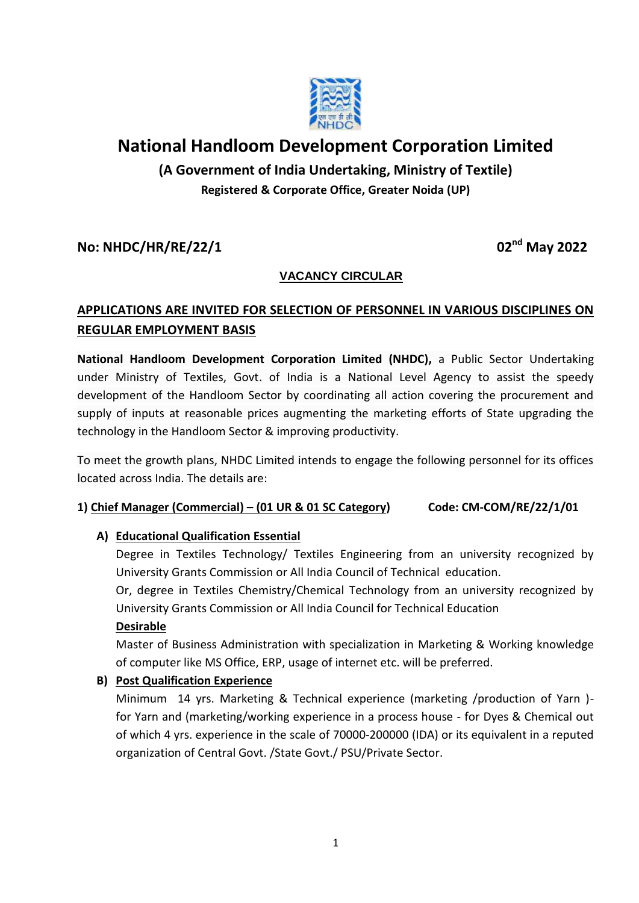

# **National Handloom Development Corporation Limited**

**(A Government of India Undertaking, Ministry of Textile) Registered & Corporate Office, Greater Noida (UP)**

## **No: NHDC/HR/RE/22/1 02nd May 2022**

## **VACANCY CIRCULAR**

## **APPLICATIONS ARE INVITED FOR SELECTION OF PERSONNEL IN VARIOUS DISCIPLINES ON REGULAR EMPLOYMENT BASIS**

**National Handloom Development Corporation Limited (NHDC),** a Public Sector Undertaking under Ministry of Textiles, Govt. of India is a National Level Agency to assist the speedy development of the Handloom Sector by coordinating all action covering the procurement and supply of inputs at reasonable prices augmenting the marketing efforts of State upgrading the technology in the Handloom Sector & improving productivity.

To meet the growth plans, NHDC Limited intends to engage the following personnel for its offices located across India. The details are:

### **1) Chief Manager (Commercial) – (01 UR & 01 SC Category) Code: CM-COM/RE/22/1/01**

### **A) Educational Qualification Essential**

Degree in Textiles Technology/ Textiles Engineering from an university recognized by University Grants Commission or All India Council of Technical education.

Or, degree in Textiles Chemistry/Chemical Technology from an university recognized by University Grants Commission or All India Council for Technical Education

### **Desirable**

Master of Business Administration with specialization in Marketing & Working knowledge of computer like MS Office, ERP, usage of internet etc. will be preferred.

### **B) Post Qualification Experience**

Minimum 14 yrs. Marketing & Technical experience (marketing /production of Yarn ) for Yarn and (marketing/working experience in a process house - for Dyes & Chemical out of which 4 yrs. experience in the scale of 70000-200000 (IDA) or its equivalent in a reputed organization of Central Govt. /State Govt./ PSU/Private Sector.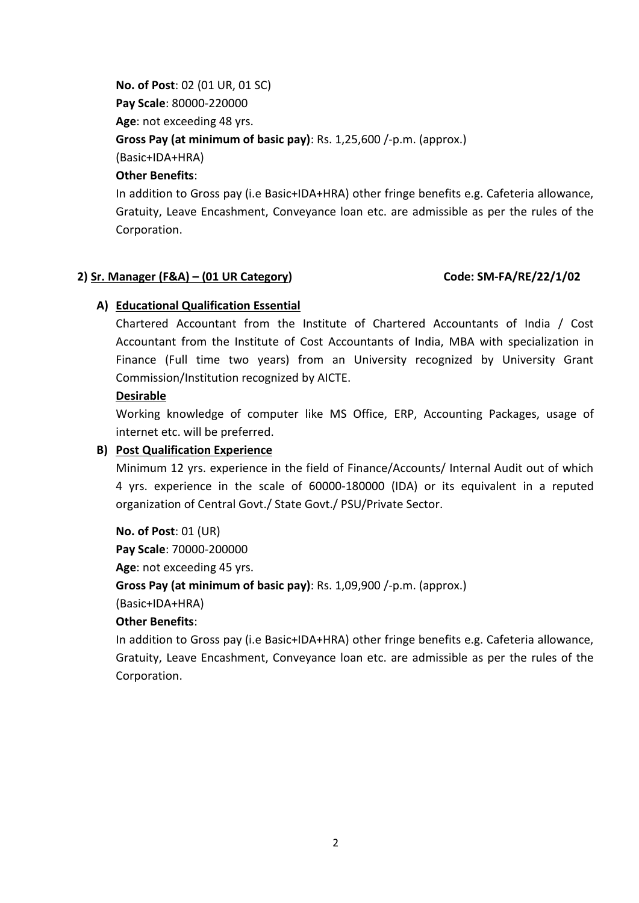**No. of Post**: 02 (01 UR, 01 SC) **Pay Scale**: 80000-220000 **Age**: not exceeding 48 yrs. **Gross Pay (at minimum of basic pay)**: Rs. 1,25,600 /-p.m. (approx.) (Basic+IDA+HRA) **Other Benefits**:

In addition to Gross pay (i.e Basic+IDA+HRA) other fringe benefits e.g. Cafeteria allowance, Gratuity, Leave Encashment, Conveyance loan etc. are admissible as per the rules of the Corporation.

### **2) Sr. Manager (F&A) – (01 UR Category) Code: SM-FA/RE/22/1/02**

### **A) Educational Qualification Essential**

Chartered Accountant from the Institute of Chartered Accountants of India / Cost Accountant from the Institute of Cost Accountants of India, MBA with specialization in Finance (Full time two years) from an University recognized by University Grant Commission/Institution recognized by AICTE.

#### **Desirable**

Working knowledge of computer like MS Office, ERP, Accounting Packages, usage of internet etc. will be preferred.

### **B) Post Qualification Experience**

Minimum 12 yrs. experience in the field of Finance/Accounts/ Internal Audit out of which 4 yrs. experience in the scale of 60000-180000 (IDA) or its equivalent in a reputed organization of Central Govt./ State Govt./ PSU/Private Sector.

**No. of Post**: 01 (UR) **Pay Scale**: 70000-200000 **Age**: not exceeding 45 yrs. **Gross Pay (at minimum of basic pay)**: Rs. 1,09,900 /-p.m. (approx.) (Basic+IDA+HRA)

### **Other Benefits**:

In addition to Gross pay (i.e Basic+IDA+HRA) other fringe benefits e.g. Cafeteria allowance, Gratuity, Leave Encashment, Conveyance loan etc. are admissible as per the rules of the Corporation.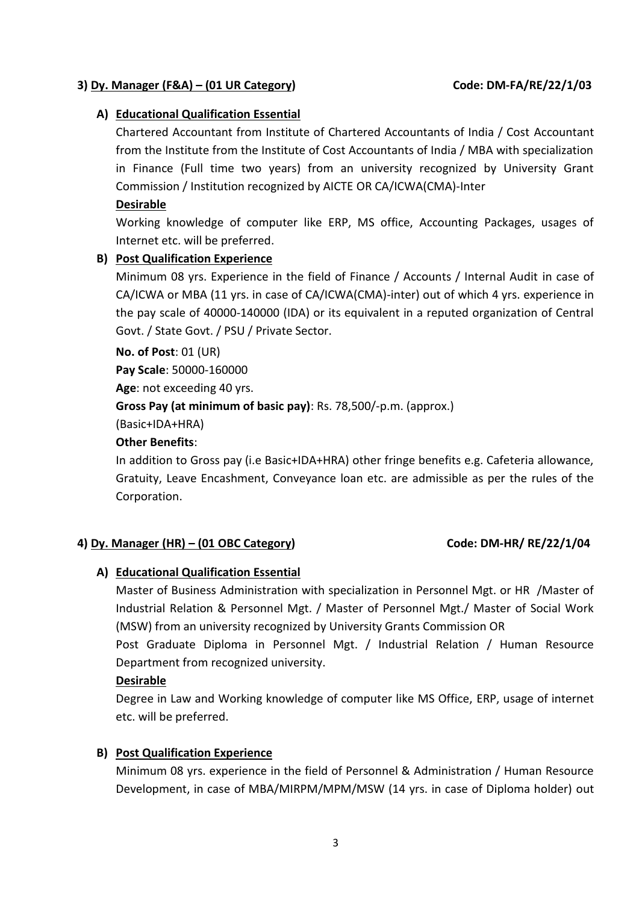#### **3) Dy. Manager (F&A) – (01 UR Category) Code: DM-FA/RE/22/1/03**

#### **A) Educational Qualification Essential**

Chartered Accountant from Institute of Chartered Accountants of India / Cost Accountant from the Institute from the Institute of Cost Accountants of India / MBA with specialization in Finance (Full time two years) from an university recognized by University Grant Commission / Institution recognized by AICTE OR CA/ICWA(CMA)-Inter

#### **Desirable**

Working knowledge of computer like ERP, MS office, Accounting Packages, usages of Internet etc. will be preferred.

#### **B) Post Qualification Experience**

Minimum 08 yrs. Experience in the field of Finance / Accounts / Internal Audit in case of CA/ICWA or MBA (11 yrs. in case of CA/ICWA(CMA)-inter) out of which 4 yrs. experience in the pay scale of 40000-140000 (IDA) or its equivalent in a reputed organization of Central Govt. / State Govt. / PSU / Private Sector.

**No. of Post**: 01 (UR)

**Pay Scale**: 50000-160000 **Age**: not exceeding 40 yrs. **Gross Pay (at minimum of basic pay)**: Rs. 78,500/-p.m. (approx.) (Basic+IDA+HRA)

#### **Other Benefits**:

In addition to Gross pay (i.e Basic+IDA+HRA) other fringe benefits e.g. Cafeteria allowance, Gratuity, Leave Encashment, Conveyance loan etc. are admissible as per the rules of the Corporation.

### **4) Dy. Manager (HR) – (01 OBC Category) Code: DM-HR/ RE/22/1/04**

### **A) Educational Qualification Essential**

Master of Business Administration with specialization in Personnel Mgt. or HR /Master of Industrial Relation & Personnel Mgt. / Master of Personnel Mgt./ Master of Social Work (MSW) from an university recognized by University Grants Commission OR

Post Graduate Diploma in Personnel Mgt. / Industrial Relation / Human Resource Department from recognized university.

#### **Desirable**

Degree in Law and Working knowledge of computer like MS Office, ERP, usage of internet etc. will be preferred.

#### **B) Post Qualification Experience**

Minimum 08 yrs. experience in the field of Personnel & Administration / Human Resource Development, in case of MBA/MIRPM/MPM/MSW (14 yrs. in case of Diploma holder) out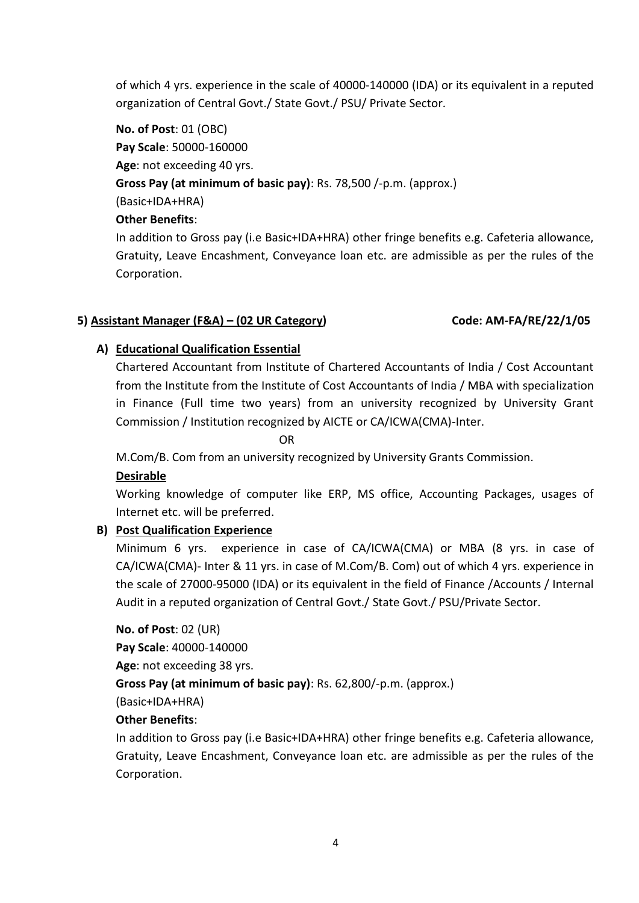of which 4 yrs. experience in the scale of 40000-140000 (IDA) or its equivalent in a reputed organization of Central Govt./ State Govt./ PSU/ Private Sector.

**No. of Post**: 01 (OBC) **Pay Scale**: 50000-160000 **Age**: not exceeding 40 yrs. **Gross Pay (at minimum of basic pay)**: Rs. 78,500 /-p.m. (approx.) (Basic+IDA+HRA) **Other Benefits**:

In addition to Gross pay (i.e Basic+IDA+HRA) other fringe benefits e.g. Cafeteria allowance, Gratuity, Leave Encashment, Conveyance loan etc. are admissible as per the rules of the Corporation.

### **5) Assistant Manager (F&A) – (02 UR Category) Code: AM-FA/RE/22/1/05**

#### **A) Educational Qualification Essential**

Chartered Accountant from Institute of Chartered Accountants of India / Cost Accountant from the Institute from the Institute of Cost Accountants of India / MBA with specialization in Finance (Full time two years) from an university recognized by University Grant Commission / Institution recognized by AICTE or CA/ICWA(CMA)-Inter.

**OR** Service Service Service Service Service Service Service Service Service Service Service Service Service Service Service Service Service Service Service Service Service Service Service Service Service Service Service S

M.Com/B. Com from an university recognized by University Grants Commission.

### **Desirable**

Working knowledge of computer like ERP, MS office, Accounting Packages, usages of Internet etc. will be preferred.

### **B) Post Qualification Experience**

Minimum 6 yrs. experience in case of CA/ICWA(CMA) or MBA (8 yrs. in case of CA/ICWA(CMA)- Inter & 11 yrs. in case of M.Com/B. Com) out of which 4 yrs. experience in the scale of 27000-95000 (IDA) or its equivalent in the field of Finance /Accounts / Internal Audit in a reputed organization of Central Govt./ State Govt./ PSU/Private Sector.

**No. of Post**: 02 (UR) **Pay Scale**: 40000-140000 **Age**: not exceeding 38 yrs. **Gross Pay (at minimum of basic pay)**: Rs. 62,800/-p.m. (approx.) (Basic+IDA+HRA)

#### **Other Benefits**:

In addition to Gross pay (i.e Basic+IDA+HRA) other fringe benefits e.g. Cafeteria allowance, Gratuity, Leave Encashment, Conveyance loan etc. are admissible as per the rules of the Corporation.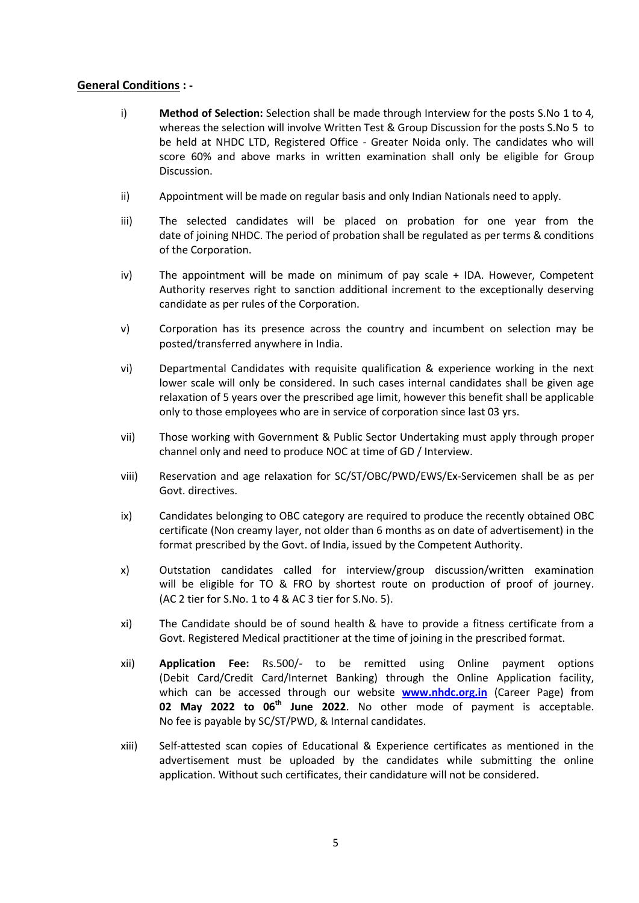#### **General Conditions : -**

- i) **Method of Selection:** Selection shall be made through Interview for the posts S.No 1 to 4, whereas the selection will involve Written Test & Group Discussion for the posts S.No 5 to be held at NHDC LTD, Registered Office - Greater Noida only. The candidates who will score 60% and above marks in written examination shall only be eligible for Group Discussion.
- ii) Appointment will be made on regular basis and only Indian Nationals need to apply.
- iii) The selected candidates will be placed on probation for one year from the date of joining NHDC. The period of probation shall be regulated as per terms & conditions of the Corporation.
- iv) The appointment will be made on minimum of pay scale + IDA. However, Competent Authority reserves right to sanction additional increment to the exceptionally deserving candidate as per rules of the Corporation.
- v) Corporation has its presence across the country and incumbent on selection may be posted/transferred anywhere in India.
- vi) Departmental Candidates with requisite qualification & experience working in the next lower scale will only be considered. In such cases internal candidates shall be given age relaxation of 5 years over the prescribed age limit, however this benefit shall be applicable only to those employees who are in service of corporation since last 03 yrs.
- vii) Those working with Government & Public Sector Undertaking must apply through proper channel only and need to produce NOC at time of GD / Interview.
- viii) Reservation and age relaxation for SC/ST/OBC/PWD/EWS/Ex-Servicemen shall be as per Govt. directives.
- ix) Candidates belonging to OBC category are required to produce the recently obtained OBC certificate (Non creamy layer, not older than 6 months as on date of advertisement) in the format prescribed by the Govt. of India, issued by the Competent Authority.
- x) Outstation candidates called for interview/group discussion/written examination will be eligible for TO & FRO by shortest route on production of proof of journey. (AC 2 tier for S.No. 1 to 4 & AC 3 tier for S.No. 5).
- xi) The Candidate should be of sound health & have to provide a fitness certificate from a Govt. Registered Medical practitioner at the time of joining in the prescribed format.
- xii) **Application Fee:** Rs.500/- to be remitted using Online payment options (Debit Card/Credit Card/Internet Banking) through the Online Application facility, which can be accessed through our website **[www.nhdc.org.in](http://www.nhdc.org.in/)** (Career Page) from **02 May 2022 to 06th June 2022**. No other mode of payment is acceptable. No fee is payable by SC/ST/PWD, & Internal candidates.
- xiii) Self-attested scan copies of Educational & Experience certificates as mentioned in the advertisement must be uploaded by the candidates while submitting the online application. Without such certificates, their candidature will not be considered.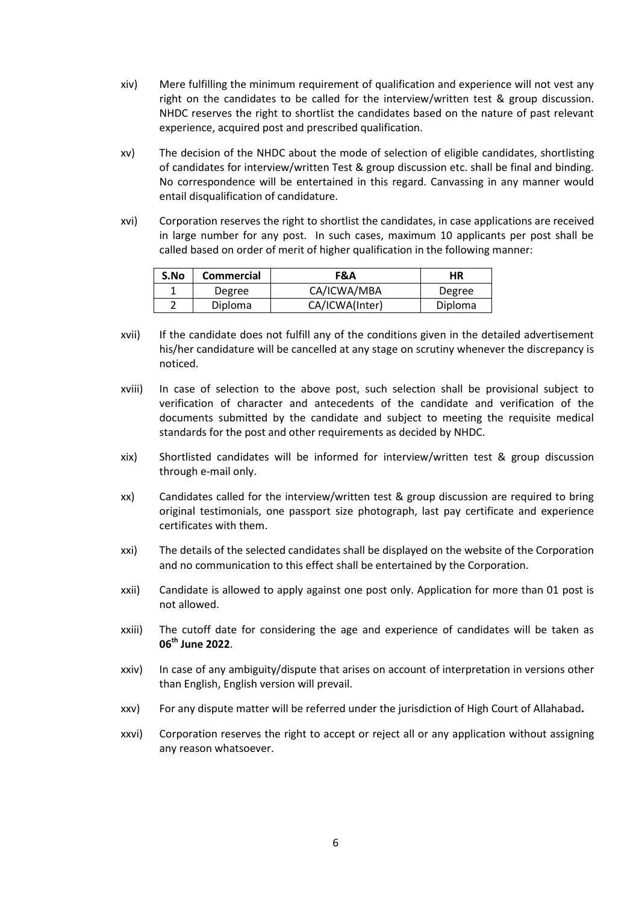- xiv) Mere fulfilling the minimum requirement of qualification and experience will not vest any right on the candidates to be called for the interview/written test & group discussion. NHDC reserves the right to shortlist the candidates based on the nature of past relevant experience, acquired post and prescribed qualification.
- xv) The decision of the NHDC about the mode of selection of eligible candidates, shortlisting of candidates for interview/written Test & group discussion etc. shall be final and binding. No correspondence will be entertained in this regard. Canvassing in any manner would entail disqualification of candidature.
- xvi) Corporation reserves the right to shortlist the candidates, in case applications are received in large number for any post. In such cases, maximum 10 applicants per post shall be called based on order of merit of higher qualification in the following manner:

| S.No | <b>Commercial</b> | F&A            | ΗR      |
|------|-------------------|----------------|---------|
|      | Degree            | CA/ICWA/MBA    | Degree  |
| ∽    | <b>Diploma</b>    | CA/ICWA(Inter) | Diploma |

- xvii) If the candidate does not fulfill any of the conditions given in the detailed advertisement his/her candidature will be cancelled at any stage on scrutiny whenever the discrepancy is noticed.
- xviii) In case of selection to the above post, such selection shall be provisional subject to verification of character and antecedents of the candidate and verification of the documents submitted by the candidate and subject to meeting the requisite medical standards for the post and other requirements as decided by NHDC.
- xix) Shortlisted candidates will be informed for interview/written test & group discussion through e-mail only.
- xx) Candidates called for the interview/written test & group discussion are required to bring original testimonials, one passport size photograph, last pay certificate and experience certificates with them.
- xxi) The details of the selected candidates shall be displayed on the website of the Corporation and no communication to this effect shall be entertained by the Corporation.
- xxii) Candidate is allowed to apply against one post only. Application for more than 01 post is not allowed.
- xxiii) The cutoff date for considering the age and experience of candidates will be taken as **06th June 2022**.
- xxiv) In case of any ambiguity/dispute that arises on account of interpretation in versions other than English, English version will prevail.
- xxv) For any dispute matter will be referred under the jurisdiction of High Court of Allahabad**.**
- xxvi) Corporation reserves the right to accept or reject all or any application without assigning any reason whatsoever.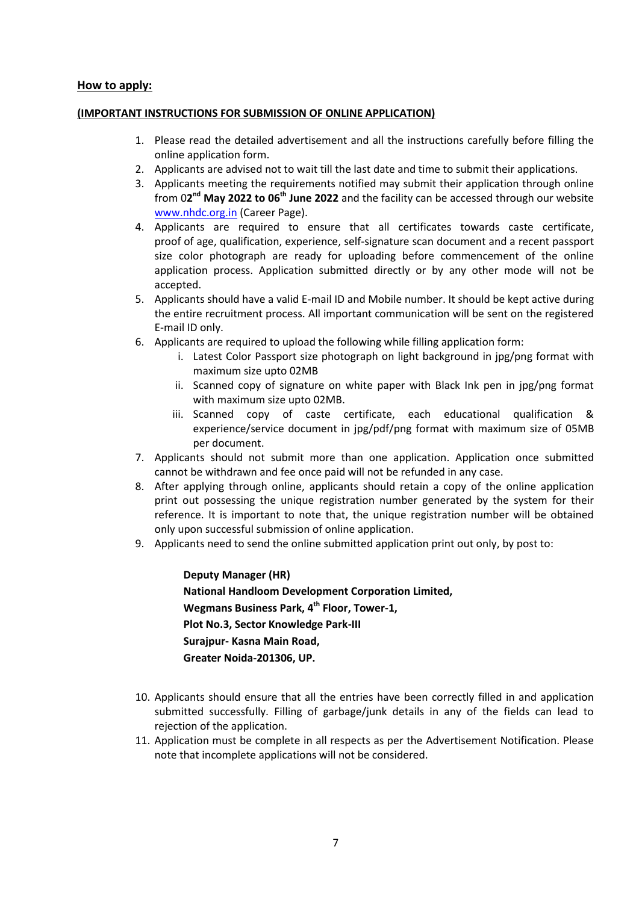#### **How to apply:**

#### **(IMPORTANT INSTRUCTIONS FOR SUBMISSION OF ONLINE APPLICATION)**

- 1. Please read the detailed advertisement and all the instructions carefully before filling the online application form.
- 2. Applicants are advised not to wait till the last date and time to submit their applications.
- 3. Applicants meeting the requirements notified may submit their application through online from 02<sup>nd</sup> May 2022 to 06<sup>th</sup> June 2022 and the facility can be accessed through our website [www.nhdc.org.in](http://www.nhdc.org.in/) (Career Page).
- 4. Applicants are required to ensure that all certificates towards caste certificate, proof of age, qualification, experience, self-signature scan document and a recent passport size color photograph are ready for uploading before commencement of the online application process. Application submitted directly or by any other mode will not be accepted.
- 5. Applicants should have a valid E-mail ID and Mobile number. It should be kept active during the entire recruitment process. All important communication will be sent on the registered E-mail ID only.
- 6. Applicants are required to upload the following while filling application form:
	- i. Latest Color Passport size photograph on light background in jpg/png format with maximum size upto 02MB
	- ii. Scanned copy of signature on white paper with Black Ink pen in jpg/png format with maximum size upto 02MB.
	- iii. Scanned copy of caste certificate, each educational qualification & experience/service document in jpg/pdf/png format with maximum size of 05MB per document.
- 7. Applicants should not submit more than one application. Application once submitted cannot be withdrawn and fee once paid will not be refunded in any case.
- 8. After applying through online, applicants should retain a copy of the online application print out possessing the unique registration number generated by the system for their reference. It is important to note that, the unique registration number will be obtained only upon successful submission of online application.
- 9. Applicants need to send the online submitted application print out only, by post to:

**Deputy Manager (HR) National Handloom Development Corporation Limited, Wegmans Business Park, 4 th Floor, Tower-1, Plot No.3, Sector Knowledge Park-III Surajpur- Kasna Main Road, Greater Noida-201306, UP.**

- 10. Applicants should ensure that all the entries have been correctly filled in and application submitted successfully. Filling of garbage/junk details in any of the fields can lead to rejection of the application.
- 11. Application must be complete in all respects as per the Advertisement Notification. Please note that incomplete applications will not be considered.